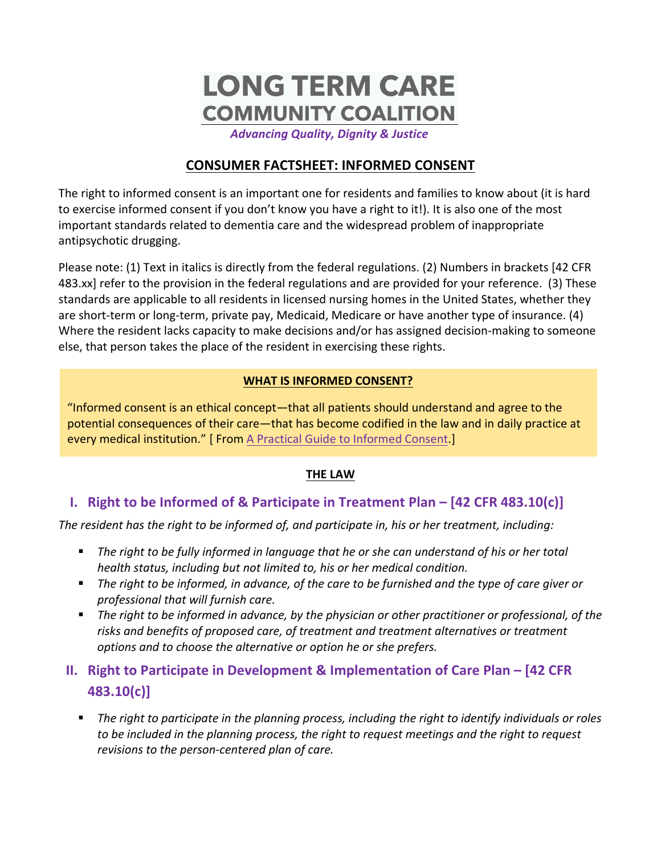# **LONG TERM CARE COMMUNITY COALITION**

*Advancing Quality, Dignity & Justice*

# **CONSUMER FACTSHEET: INFORMED CONSENT**

The right to informed consent is an important one for residents and families to know about (it is hard to exercise informed consent if you don't know you have a right to it!). It is also one of the most important standards related to dementia care and the widespread problem of inappropriate antipsychotic drugging.

Please note: (1) Text in italics is directly from the federal regulations. (2) Numbers in brackets [42 CFR 483.xx] refer to the provision in the federal regulations and are provided for your reference. (3) These standards are applicable to all residents in licensed nursing homes in the United States, whether they are short-term or long-term, private pay, Medicaid, Medicare or have another type of insurance. (4) Where the resident lacks capacity to make decisions and/or has assigned decision-making to someone else, that person takes the place of the resident in exercising these rights.

#### **WHAT IS INFORMED CONSENT?**

"Informed consent is an ethical concept—that all patients should understand and agree to the potential consequences of their care—that has become codified in the law and in daily practice at every medical institution." [ From A Practical Guide to Informed Consent.]

## **THE LAW**

## **I.** Right to be Informed of & Participate in Treatment Plan – [42 CFR 483.10(c)]

The resident has the right to be informed of, and participate in, his or her treatment, including:

- The right to be fully informed in language that he or she can understand of his or her total *health status, including but not limited to, his or her medical condition.*
- The right to be informed, in advance, of the care to be furnished and the type of care giver or *professional that will furnish care.*
- The right to be informed in advance, by the physician or other practitioner or professional, of the risks and benefits of proposed care, of treatment and treatment alternatives or treatment options and to choose the alternative or option he or she prefers.

# **II.** Right to Participate in Development & Implementation of Care Plan – [42 CFR **483.10(c)]**

**•** The right to participate in the planning process, including the right to identify individuals or roles to be included in the planning process, the right to request meetings and the right to request revisions to the person-centered plan of care.